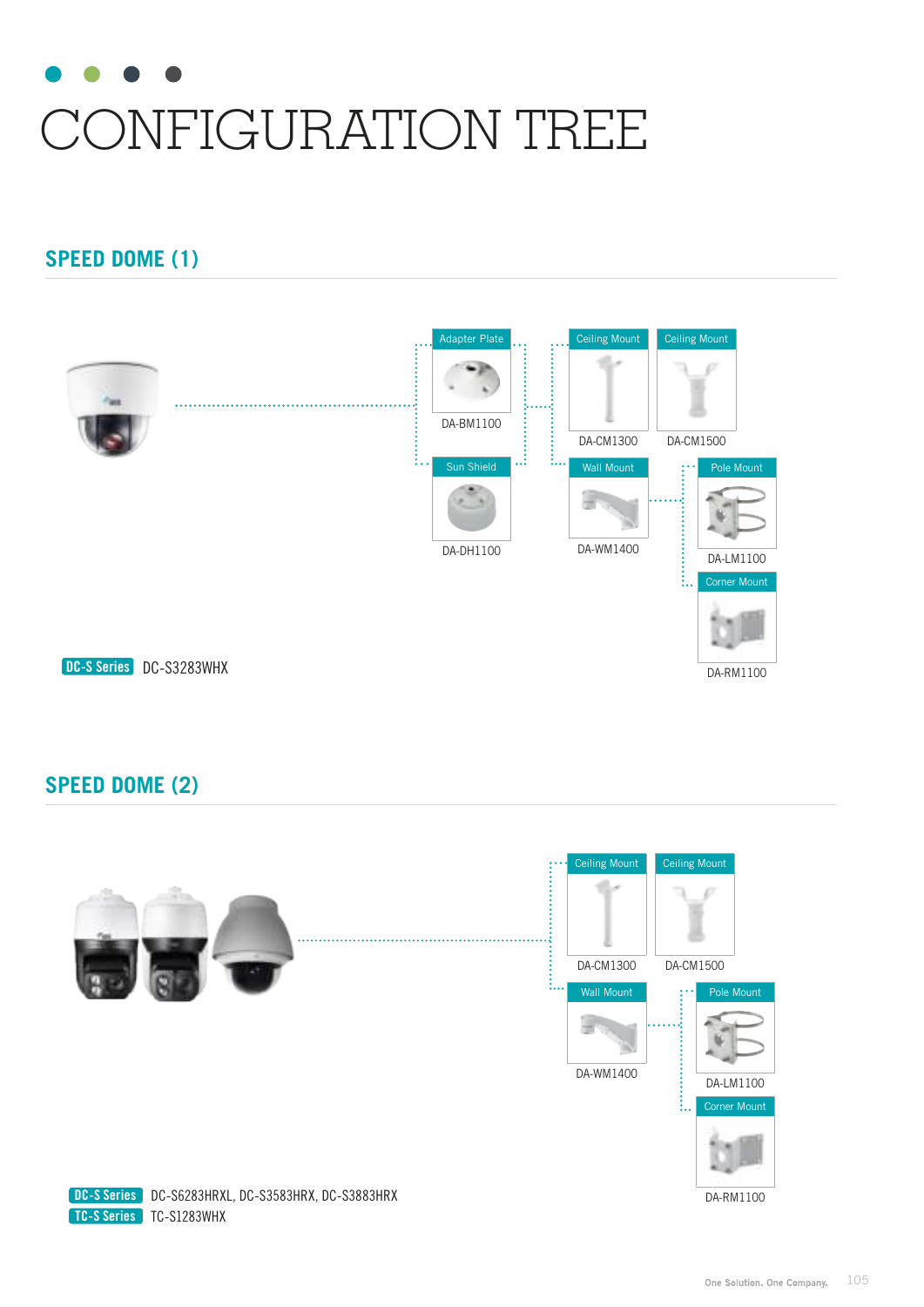# CONFIGURATION TREE

## **SPEED DOME (1)**



## **SPEED DOME (2)**





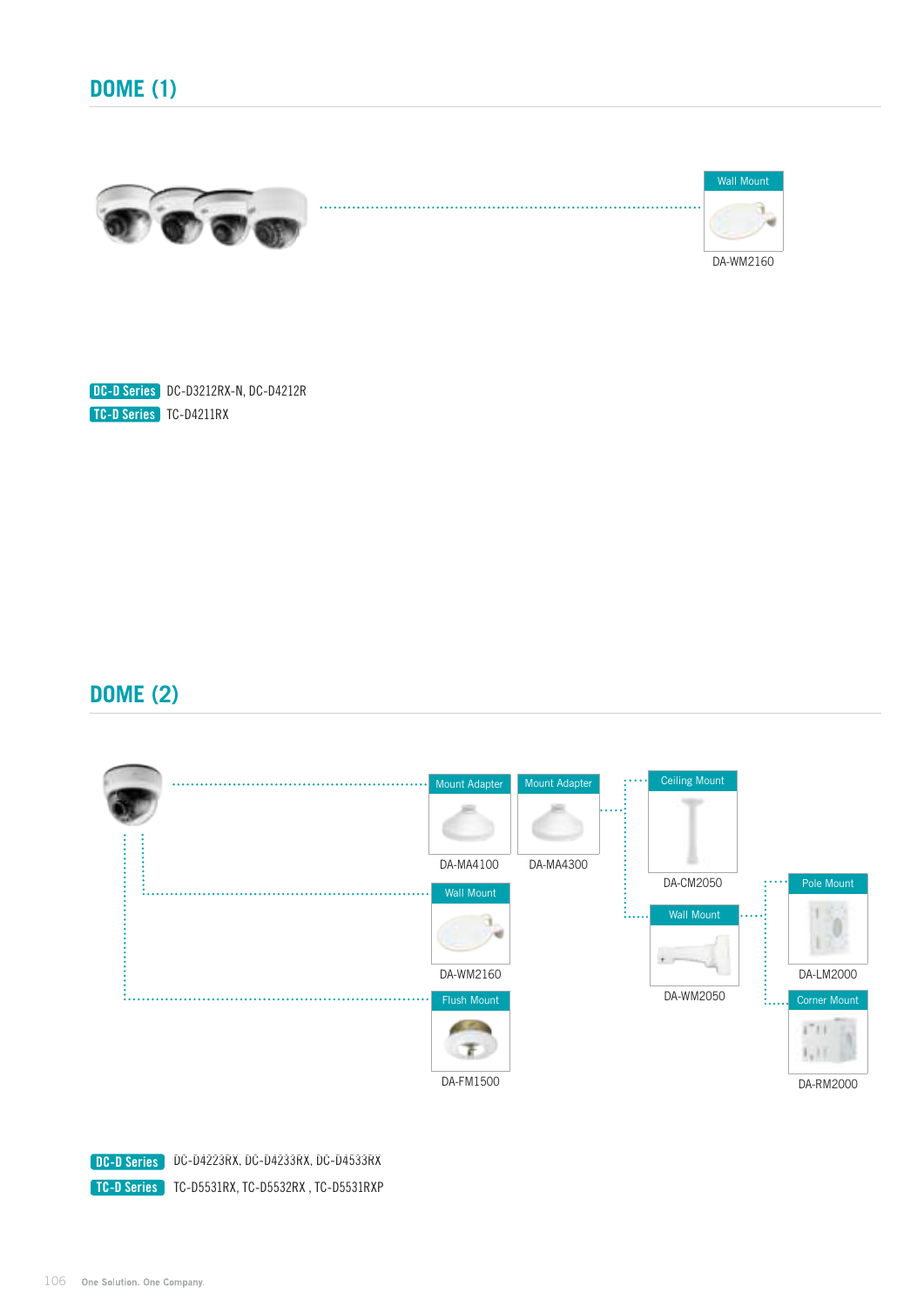



DC-D Series DC-D3212RX-N, DC-D4212R TC-D Series TC-D4211RX

#### **DOME (2)**



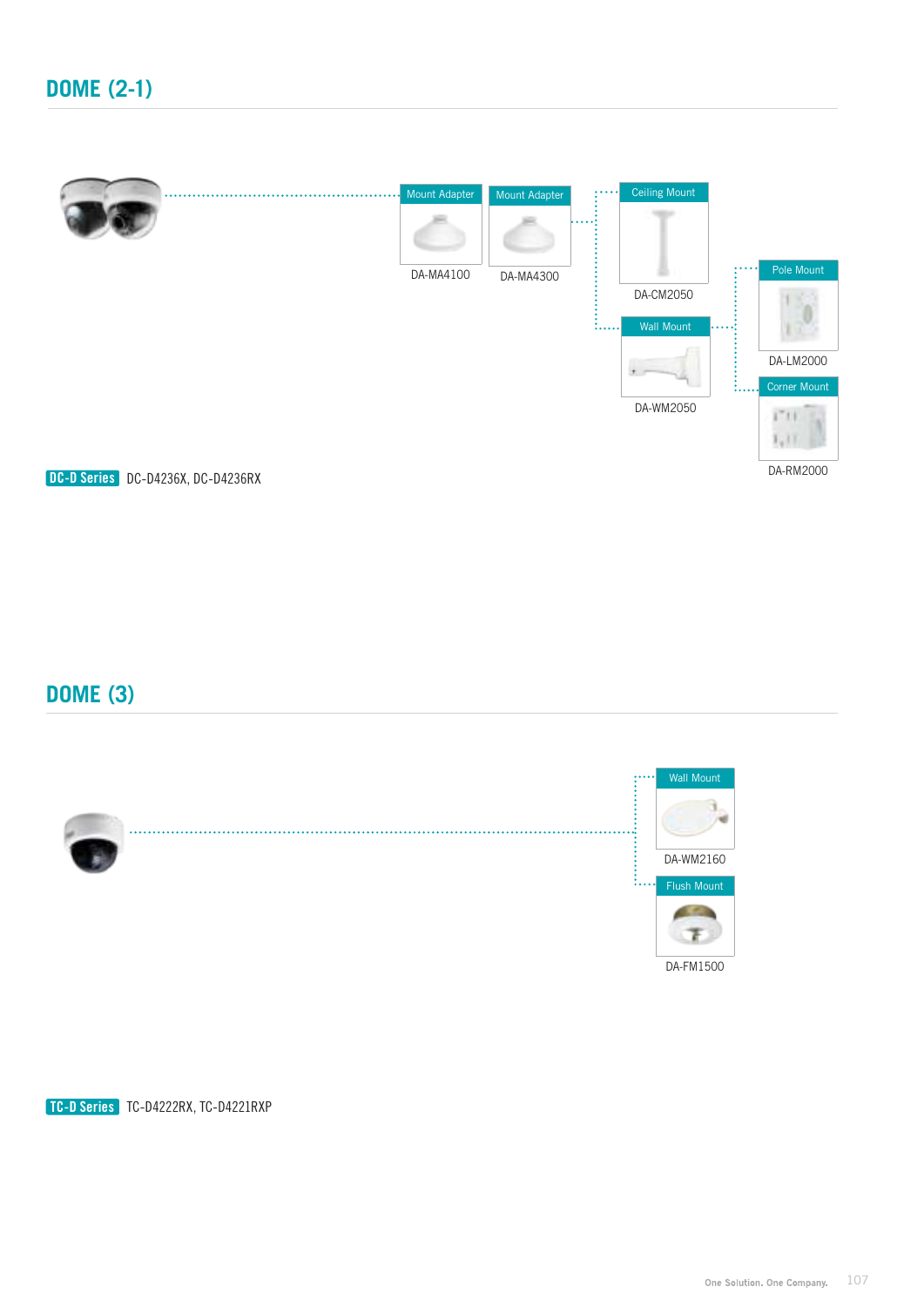

# **DOME (3)**



TC-D Series TC-D4222RX, TC-D4221RXP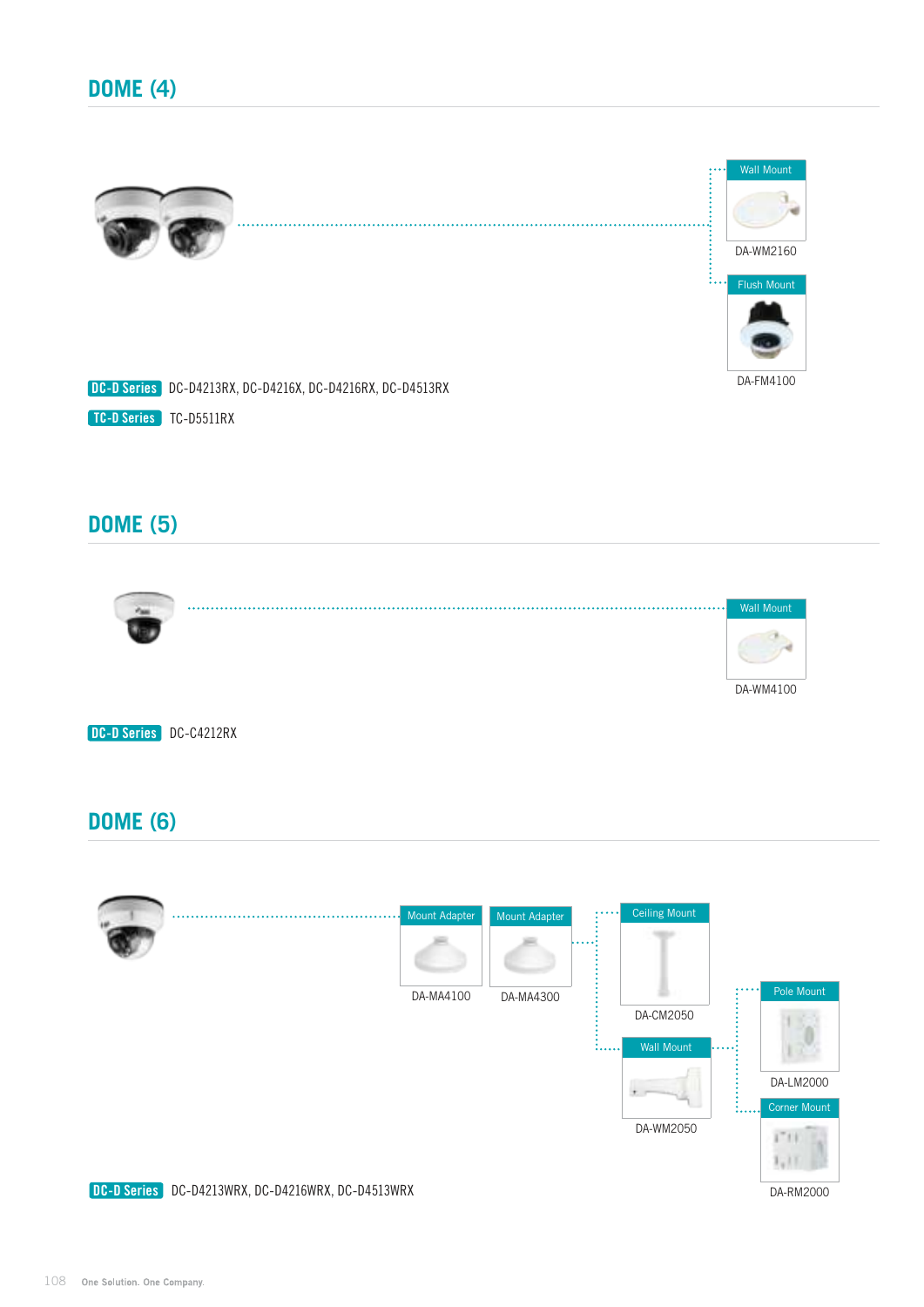

#### **DOME (5)**



DC-D Series DC-C4212RX

#### **DOME (6)**

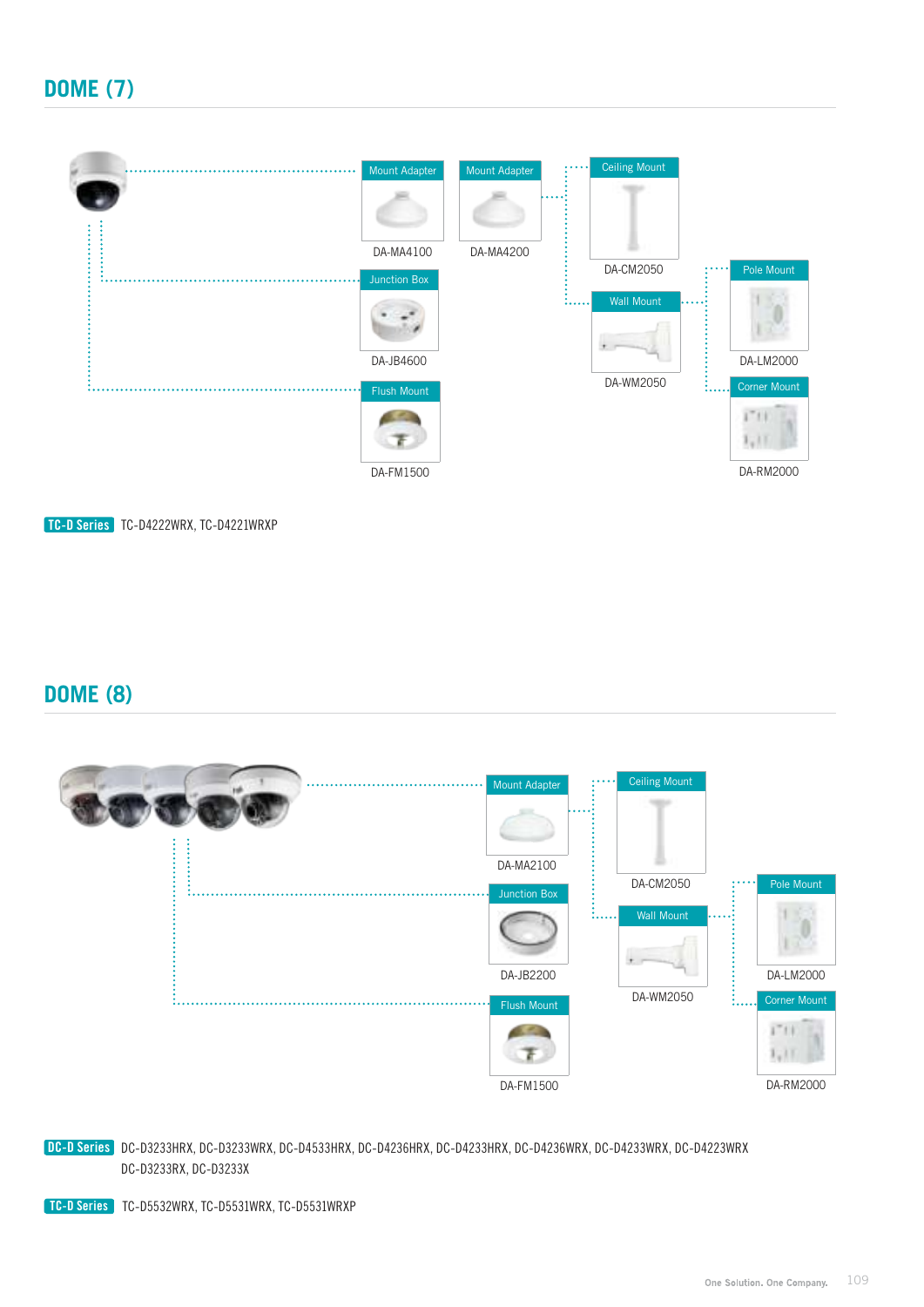

TC-D Series TC-D4222WRX, TC-D4221WRXP

#### **DOME (8)**



DC-D Series DC-D3233HRX, DC-D3233WRX, DC-D4533HRX, DC-D4236HRX, DC-D4233HRX, DC-D4236WRX, DC-D4233WRX, DC-D4223WRX DC-D3233RX, DC-D3233X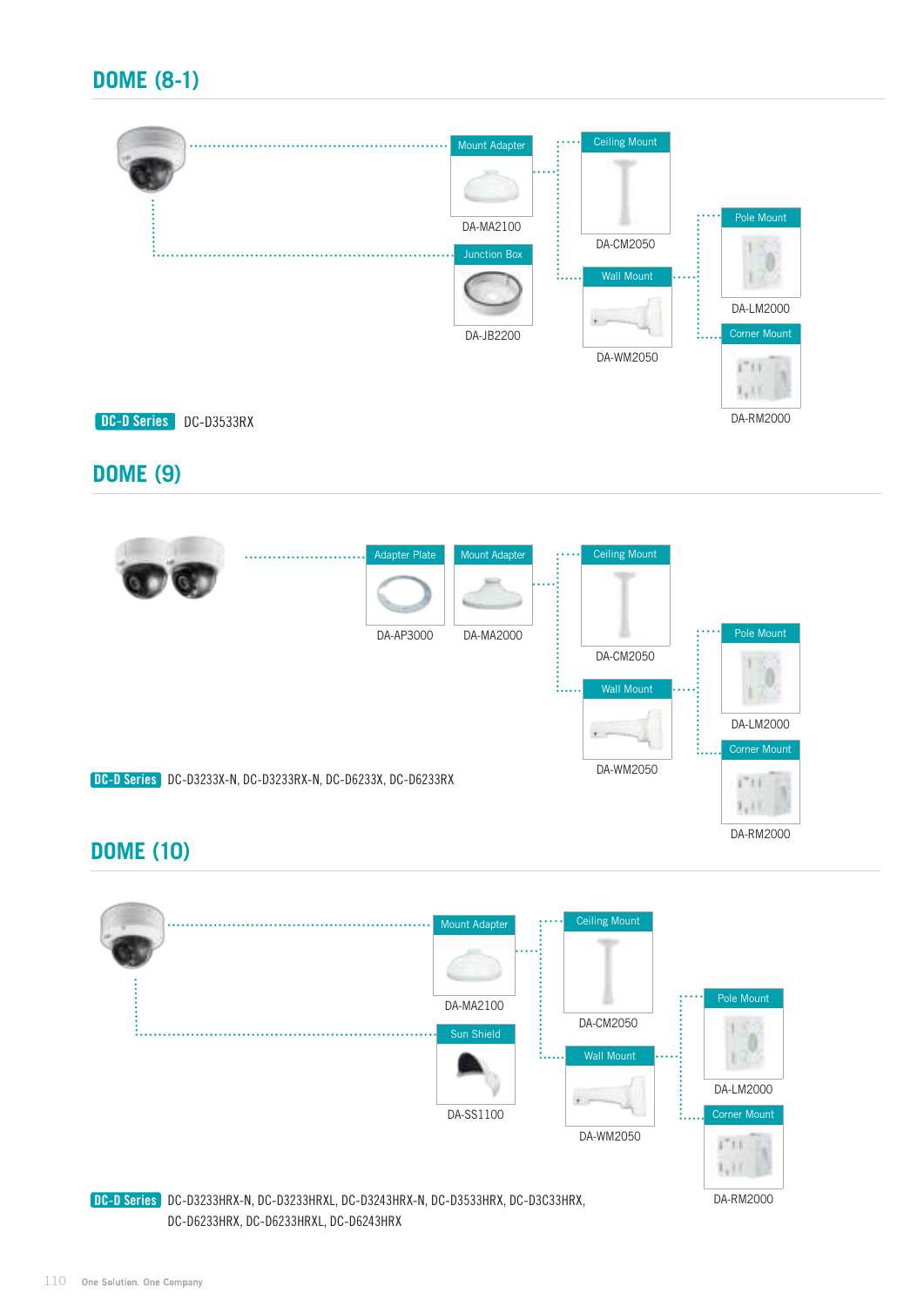# **DOME (8-1)**



#### **DOME (9)**



# **DOME (10)**

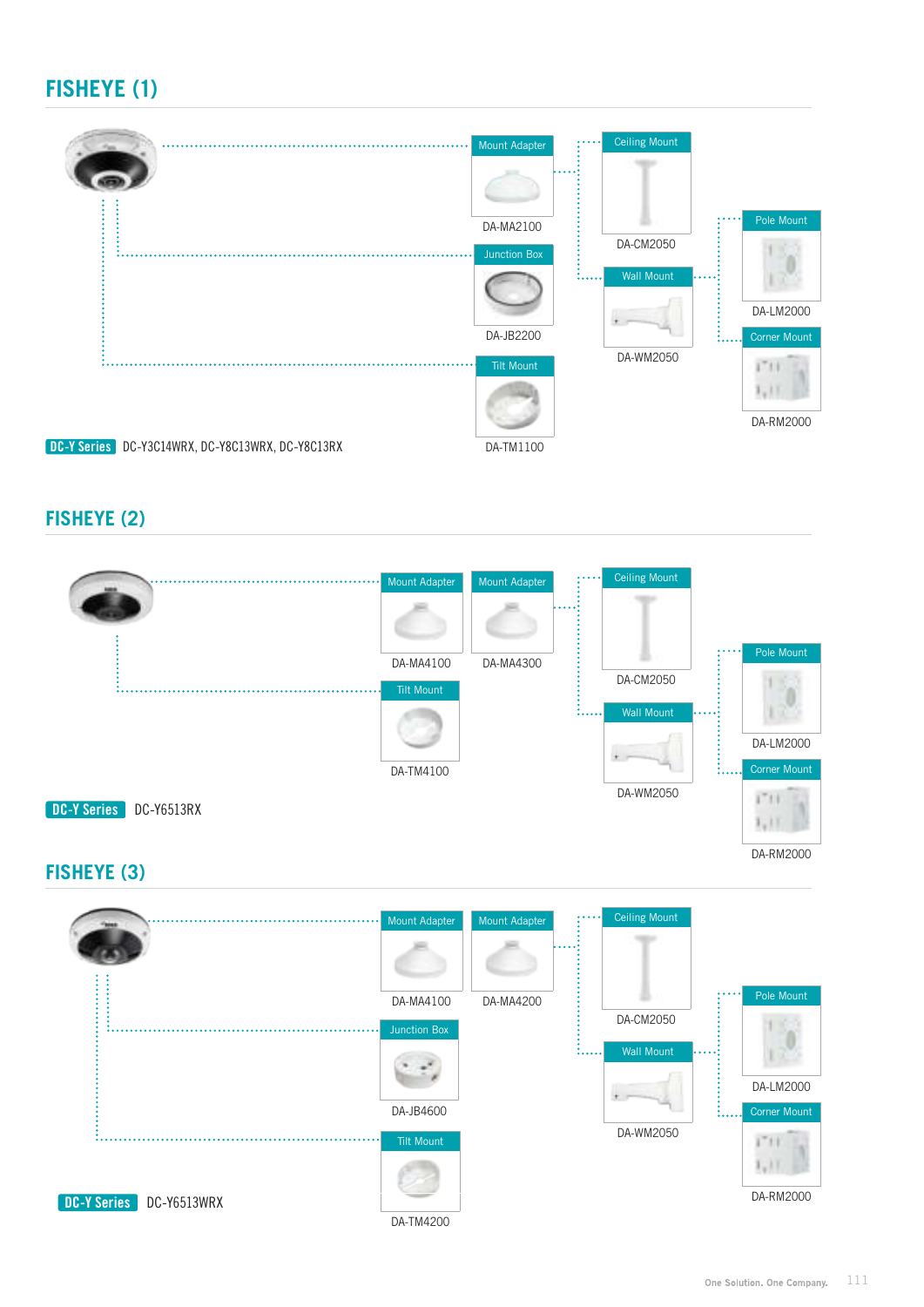# **FISHEYE (1)**



#### **FISHEYE (2)**

DC-Y Series DC-Y6513WRX



DA-TM4200

One Solution. One Company. 111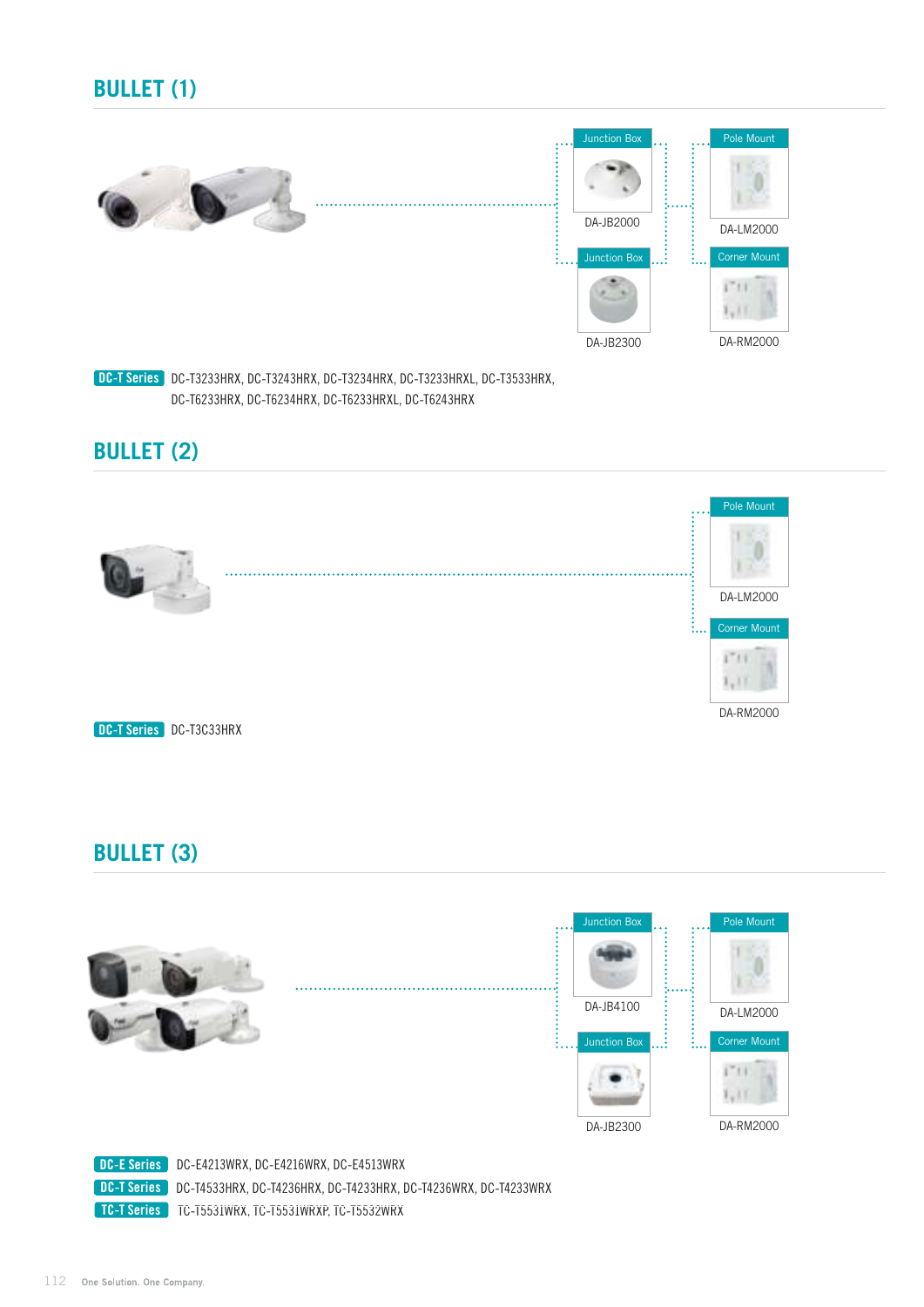# **BULLET (1)**





DC-T Series DC-T3233HRX, DC-T3243HRX, DC-T3234HRX, DC-T3233HRXL, DC-T3533HRX, DC-T6233HRX, DC-T6234HRX, DC-T6233HRXL, DC-T6243HRX

#### **BULLET (2)**



#### **BULLET (3)**



TC-T Series TC-T5531WRX, TC-T5531WRXP, TC-T5532WRX